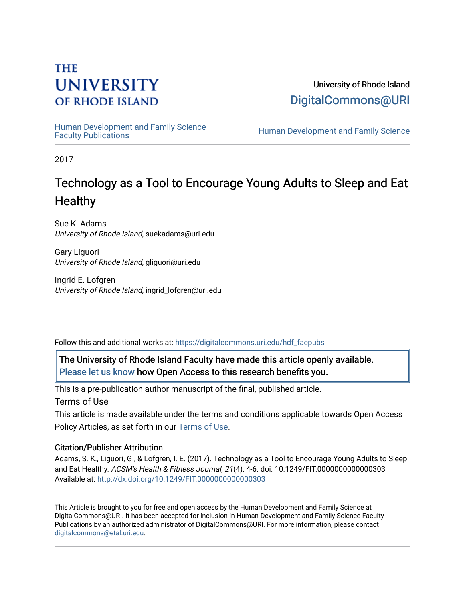# **THE UNIVERSITY OF RHODE ISLAND**

University of Rhode Island [DigitalCommons@URI](https://digitalcommons.uri.edu/) 

Human Development and Family Science<br>Faculty Publications

Human Development and Family Science

2017

# Technology as a Tool to Encourage Young Adults to Sleep and Eat **Healthy**

Sue K. Adams University of Rhode Island, suekadams@uri.edu

Gary Liguori University of Rhode Island, gliguori@uri.edu

Ingrid E. Lofgren University of Rhode Island, ingrid\_lofgren@uri.edu

Follow this and additional works at: [https://digitalcommons.uri.edu/hdf\\_facpubs](https://digitalcommons.uri.edu/hdf_facpubs?utm_source=digitalcommons.uri.edu%2Fhdf_facpubs%2F47&utm_medium=PDF&utm_campaign=PDFCoverPages) 

The University of Rhode Island Faculty have made this article openly available. [Please let us know](http://web.uri.edu/library-digital-initiatives/open-access-online-form/) how Open Access to this research benefits you.

This is a pre-publication author manuscript of the final, published article.

Terms of Use

This article is made available under the terms and conditions applicable towards Open Access Policy Articles, as set forth in our [Terms of Use](https://digitalcommons.uri.edu/hdf_facpubs/oa_policy_terms.html).

## Citation/Publisher Attribution

Adams, S. K., Liguori, G., & Lofgren, I. E. (2017). Technology as a Tool to Encourage Young Adults to Sleep and Eat Healthy. ACSM's Health & Fitness Journal, 21(4), 4-6. doi: 10.1249/FIT.0000000000000303 Available at:<http://dx.doi.org/10.1249/FIT.0000000000000303>

This Article is brought to you for free and open access by the Human Development and Family Science at DigitalCommons@URI. It has been accepted for inclusion in Human Development and Family Science Faculty Publications by an authorized administrator of DigitalCommons@URI. For more information, please contact [digitalcommons@etal.uri.edu](mailto:digitalcommons@etal.uri.edu).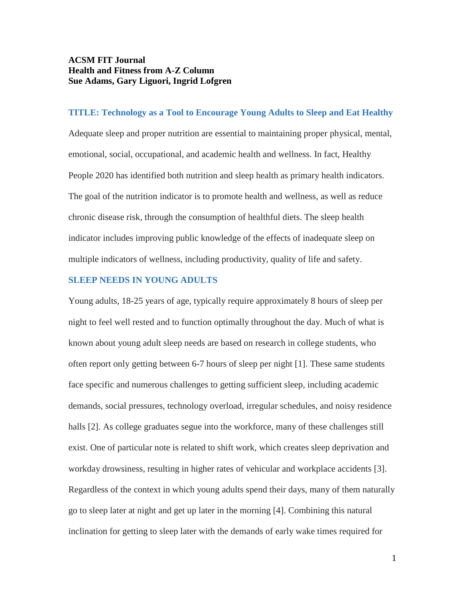## **ACSM FIT Journal Health and Fitness from A-Z Column Sue Adams, Gary Liguori, Ingrid Lofgren**

### **TITLE: Technology as a Tool to Encourage Young Adults to Sleep and Eat Healthy**

Adequate sleep and proper nutrition are essential to maintaining proper physical, mental, emotional, social, occupational, and academic health and wellness. In fact, Healthy People 2020 has identified both nutrition and sleep health as primary health indicators. The goal of the nutrition indicator is to promote health and wellness, as well as reduce chronic disease risk, through the consumption of healthful diets. The sleep health indicator includes improving public knowledge of the effects of inadequate sleep on multiple indicators of wellness, including productivity, quality of life and safety.

## **SLEEP NEEDS IN YOUNG ADULTS**

Young adults, 18-25 years of age, typically require approximately 8 hours of sleep per night to feel well rested and to function optimally throughout the day. Much of what is known about young adult sleep needs are based on research in college students, who often report only getting between 6-7 hours of sleep per night [1]. These same students face specific and numerous challenges to getting sufficient sleep, including academic demands, social pressures, technology overload, irregular schedules, and noisy residence halls [2]. As college graduates segue into the workforce, many of these challenges still exist. One of particular note is related to shift work, which creates sleep deprivation and workday drowsiness, resulting in higher rates of vehicular and workplace accidents [3]. Regardless of the context in which young adults spend their days, many of them naturally go to sleep later at night and get up later in the morning [4]. Combining this natural inclination for getting to sleep later with the demands of early wake times required for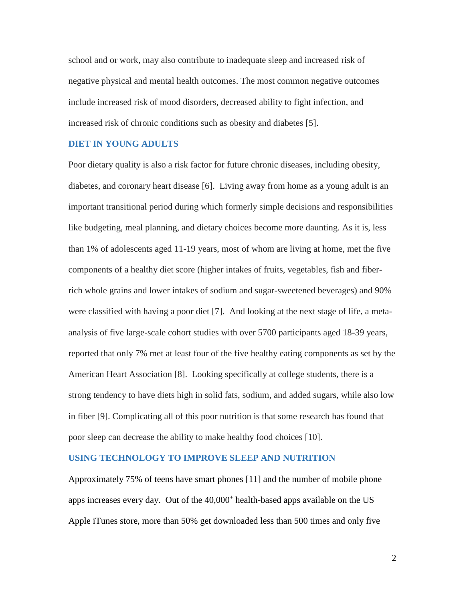school and or work, may also contribute to inadequate sleep and increased risk of negative physical and mental health outcomes. The most common negative outcomes include increased risk of mood disorders, decreased ability to fight infection, and increased risk of chronic conditions such as obesity and diabetes [5].

### **DIET IN YOUNG ADULTS**

Poor dietary quality is also a risk factor for future chronic diseases, including obesity, diabetes, and coronary heart disease [6]. Living away from home as a young adult is an important transitional period during which formerly simple decisions and responsibilities like budgeting, meal planning, and dietary choices become more daunting. As it is, less than 1% of adolescents aged 11-19 years, most of whom are living at home, met the five components of a healthy diet score (higher intakes of fruits, vegetables, fish and fiberrich whole grains and lower intakes of sodium and sugar-sweetened beverages) and 90% were classified with having a poor diet [7]. And looking at the next stage of life, a metaanalysis of five large-scale cohort studies with over 5700 participants aged 18-39 years, reported that only 7% met at least four of the five healthy eating components as set by the American Heart Association [8]. Looking specifically at college students, there is a strong tendency to have diets high in solid fats, sodium, and added sugars, while also low in fiber [9]. Complicating all of this poor nutrition is that some research has found that poor sleep can decrease the ability to make healthy food choices [10].

### **USING TECHNOLOGY TO IMPROVE SLEEP AND NUTRITION**

Approximately 75% of teens have smart phones [11] and the number of mobile phone apps increases every day. Out of the  $40,000<sup>+</sup>$  health-based apps available on the US Apple iTunes store, more than 50% get downloaded less than 500 times and only five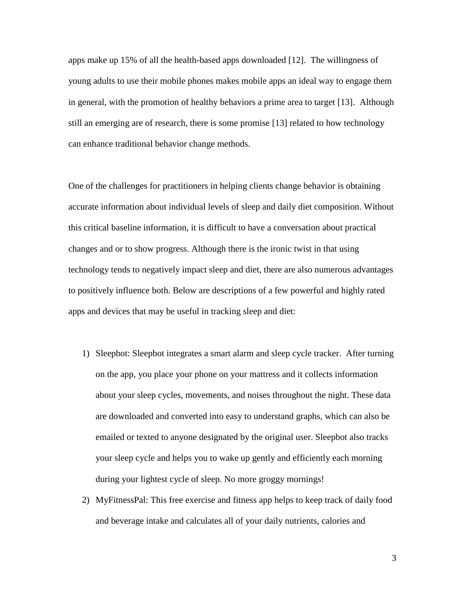apps make up 15% of all the health-based apps downloaded [12]. The willingness of young adults to use their mobile phones makes mobile apps an ideal way to engage them in general, with the promotion of healthy behaviors a prime area to target [13]. Although still an emerging are of research, there is some promise [13] related to how technology can enhance traditional behavior change methods.

One of the challenges for practitioners in helping clients change behavior is obtaining accurate information about individual levels of sleep and daily diet composition. Without this critical baseline information, it is difficult to have a conversation about practical changes and or to show progress. Although there is the ironic twist in that using technology tends to negatively impact sleep and diet, there are also numerous advantages to positively influence both. Below are descriptions of a few powerful and highly rated apps and devices that may be useful in tracking sleep and diet:

- 1) Sleepbot: Sleepbot integrates a smart alarm and sleep cycle tracker. After turning on the app, you place your phone on your mattress and it collects information about your sleep cycles, movements, and noises throughout the night. These data are downloaded and converted into easy to understand graphs, which can also be emailed or texted to anyone designated by the original user. Sleepbot also tracks your sleep cycle and helps you to wake up gently and efficiently each morning during your lightest cycle of sleep. No more groggy mornings!
- 2) MyFitnessPal: This free exercise and fitness app helps to keep track of daily food and beverage intake and calculates all of your daily nutrients, calories and

3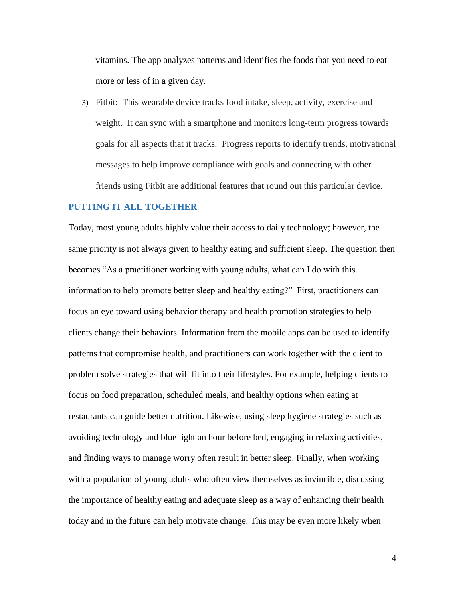vitamins. The app analyzes patterns and identifies the foods that you need to eat more or less of in a given day.

3) Fitbit: This wearable device tracks food intake, sleep, activity, exercise and weight. It can sync with a smartphone and monitors long-term progress towards goals for all aspects that it tracks. Progress reports to identify trends, motivational messages to help improve compliance with goals and connecting with other friends using Fitbit are additional features that round out this particular device.

#### **PUTTING IT ALL TOGETHER**

Today, most young adults highly value their access to daily technology; however, the same priority is not always given to healthy eating and sufficient sleep. The question then becomes "As a practitioner working with young adults, what can I do with this information to help promote better sleep and healthy eating?" First, practitioners can focus an eye toward using behavior therapy and health promotion strategies to help clients change their behaviors. Information from the mobile apps can be used to identify patterns that compromise health, and practitioners can work together with the client to problem solve strategies that will fit into their lifestyles. For example, helping clients to focus on food preparation, scheduled meals, and healthy options when eating at restaurants can guide better nutrition. Likewise, using sleep hygiene strategies such as avoiding technology and blue light an hour before bed, engaging in relaxing activities, and finding ways to manage worry often result in better sleep. Finally, when working with a population of young adults who often view themselves as invincible, discussing the importance of healthy eating and adequate sleep as a way of enhancing their health today and in the future can help motivate change. This may be even more likely when

4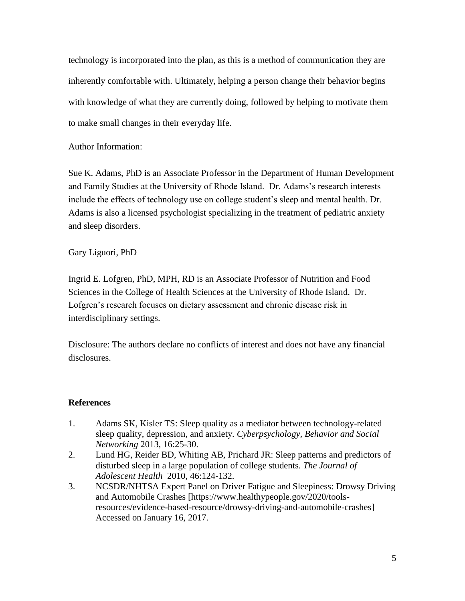technology is incorporated into the plan, as this is a method of communication they are inherently comfortable with. Ultimately, helping a person change their behavior begins with knowledge of what they are currently doing, followed by helping to motivate them to make small changes in their everyday life.

Author Information:

Sue K. Adams, PhD is an Associate Professor in the Department of Human Development and Family Studies at the University of Rhode Island. Dr. Adams's research interests include the effects of technology use on college student's sleep and mental health. Dr. Adams is also a licensed psychologist specializing in the treatment of pediatric anxiety and sleep disorders.

Gary Liguori, PhD

Ingrid E. Lofgren, PhD, MPH, RD is an Associate Professor of Nutrition and Food Sciences in the College of Health Sciences at the University of Rhode Island. Dr. Lofgren's research focuses on dietary assessment and chronic disease risk in interdisciplinary settings.

Disclosure: The authors declare no conflicts of interest and does not have any financial disclosures.

## **References**

- 1. Adams SK, Kisler TS: Sleep quality as a mediator between technology-related sleep quality, depression, and anxiety. *Cyberpsychology, Behavior and Social Networking* 2013, 16:25-30.
- 2. Lund HG, Reider BD, Whiting AB, Prichard JR: Sleep patterns and predictors of disturbed sleep in a large population of college students. *The Journal of Adolescent Health* 2010, 46:124-132.
- 3. NCSDR/NHTSA Expert Panel on Driver Fatigue and Sleepiness: Drowsy Driving and Automobile Crashes [https://www.healthypeople.gov/2020/toolsresources/evidence-based-resource/drowsy-driving-and-automobile-crashes] Accessed on January 16, 2017.